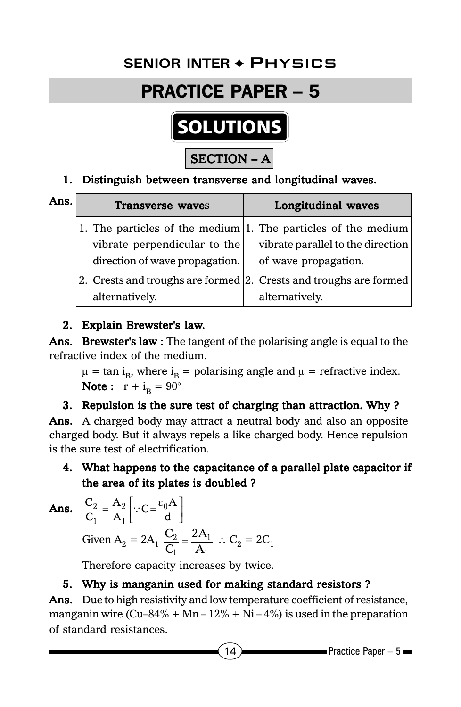# **Senior Inter** ✦ Physics **SENIOR INTER** ✦ Physics

## PRACTICE PAPER – 5



### 1. Distinguish between transverse and longitudinal waves.

| Ans. | Transverse waves                                                  | Longitudinal waves                |
|------|-------------------------------------------------------------------|-----------------------------------|
|      | 1. The particles of the medium $ 1$ . The particles of the medium |                                   |
|      | vibrate perpendicular to the                                      | vibrate parallel to the direction |
|      | direction of wave propagation.                                    | of wave propagation.              |
|      | 2. Crests and troughs are formed 2. Crests and troughs are formed |                                   |
|      | alternatively.                                                    | alternatively.                    |

### 2. Explain Brewster's law.

Ans. Brewster's law : The tangent of the polarising angle is equal to the refractive index of the medium.

 $\mu = \tan i_B$ , where  $i_B =$  polarising angle and  $\mu =$  refractive index. Note:  $r + i<sub>B</sub> = 90^\circ$ 

### 3. Repulsion is the sure test of charging than attraction. Why ?

Ans. A charged body may attract a neutral body and also an opposite charged body. But it always repels a like charged body. Hence repulsion is the sure test of electrification.

4. What happens to the capacitance of a parallel plate capacitor if the area of its plates is doubled ?

**Ans.** 
$$
\frac{C_2}{C_1} = \frac{A_2}{A_1} \left[ \because C = \frac{\varepsilon_0 A}{d} \right]
$$
  
Given  $A_2 = 2A_1 \frac{C_2}{C_1} = \frac{2A_1}{A_1} \therefore C_2 = 2C_1$ 

Therefore capacity increases by twice.

### 5. Why is manganin used for making standard resistors ?

Ans. Due to high resistivity and low temperature coefficient of resistance, manganin wire (Cu–84% + Mn –  $12%$  + Ni – 4%) is used in the preparation of standard resistances.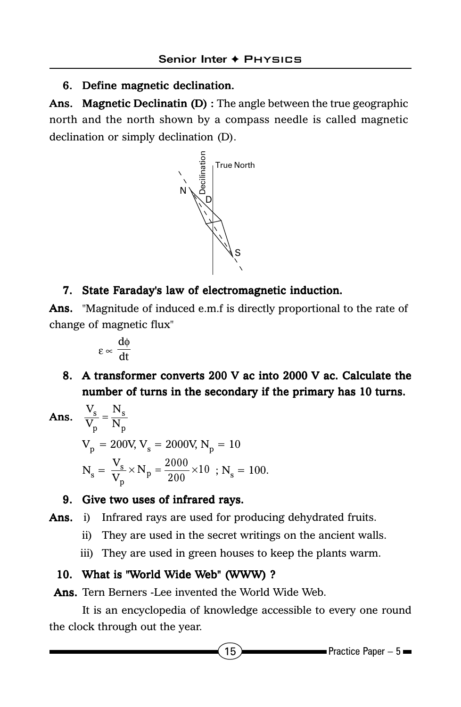### 6. Define magnetic declination.

Ans. Magnetic Declinatin  $(D)$ : The angle between the true geographic north and the north shown by a compass needle is called magnetic declination or simply declination (D).



### 7. State Faraday's law of electromagnetic induction.

Ans. "Magnitude of induced e.m.f is directly proportional to the rate of change of magnetic flux"

$$
\epsilon \propto \, \frac{d\varphi}{dt}
$$

8. A transformer converts 200 V ac into 2000 V ac. Calculate the number of turns in the secondary if the primary has 10 turns.

**Ans.** 
$$
\frac{V_s}{V_p} = \frac{N_s}{N_p}
$$
  
\n $V_p = 200V, V_s = 2000V, N_p = 10$   
\n $N_s = \frac{V_s}{V_p} \times N_p = \frac{2000}{200} \times 10 \text{ ; } N_s = 100.$ 

#### 9. Give two uses of infrared rays.

- Ans. i) Infrared rays are used for producing dehydrated fruits.
	- ii) They are used in the secret writings on the ancient walls.
	- iii) They are used in green houses to keep the plants warm.

### 10. What is "World Wide Web" (WWW) ?

Ans. Tern Berners -Lee invented the World Wide Web.

It is an encyclopedia of knowledge accessible to every one round the clock through out the year.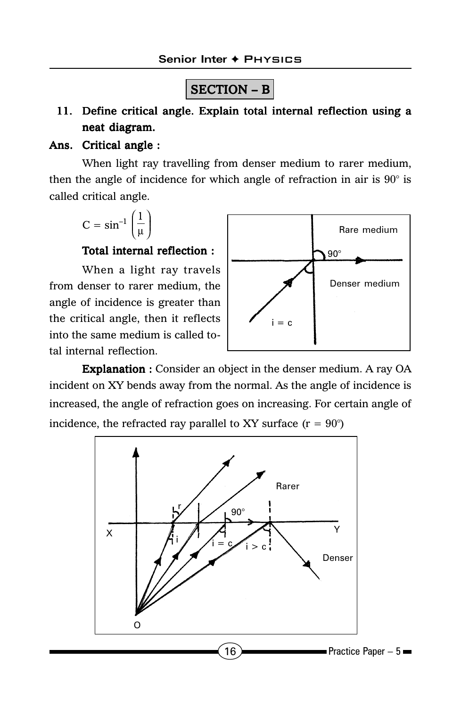### SECTION – B

### 11. Define critical angle. Explain total internal reflection using a neat diagram.

#### Ans. Critical angle :

When light ray travelling from denser medium to rarer medium, then the angle of incidence for which angle of refraction in air is 90° is called critical angle.

$$
C=\text{sin}^{-1}\left(\frac{1}{\mu}\right)
$$

#### Total internal reflection :

When a light ray travels from denser to rarer medium, the angle of incidence is greater than the critical angle, then it reflects into the same medium is called total internal reflection.



Explanation : Consider an object in the denser medium. A ray OA incident on XY bends away from the normal. As the angle of incidence is increased, the angle of refraction goes on increasing. For certain angle of incidence, the refracted ray parallel to XY surface  $(r = 90^{\circ})$ 

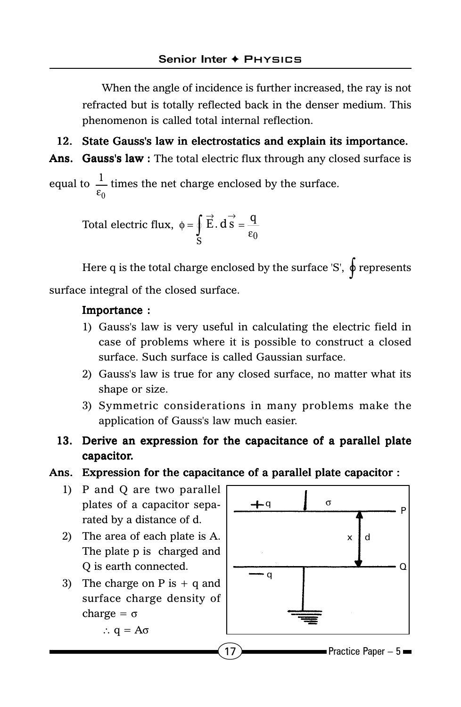When the angle of incidence is further increased, the ray is not refracted but is totally reflected back in the denser medium. This phenomenon is called total internal reflection.

12. State Gauss's law in electrostatics and explain its importance.

Ans. Gauss's law : The total electric flux through any closed surface is

equal to  $\frac{1}{\epsilon_0}$  $\frac{1}{1}$  times the net charge enclosed by the surface.

> Total electric flux,  $\mathbf{s}$   $\epsilon_0$  $\phi = \oint \vec{E} \cdot d\vec{s} = \frac{q}{\epsilon_0}$

Here q is the total charge enclosed by the surface 'S',  $\phi$  represents surface integral of the closed surface.

#### Importance :

- 1) Gauss's law is very useful in calculating the electric field in case of problems where it is possible to construct a closed surface. Such surface is called Gaussian surface.
- 2) Gauss's law is true for any closed surface, no matter what its shape or size.
- 3) Symmetric considerations in many problems make the application of Gauss's law much easier.
- 13. Derive an expression for the capacitance of a parallel plate capacitor.

#### Ans. Expression for the capacitance of a parallel plate capacitor :

- 1) P and Q are two parallel plates of a capacitor separated by a distance of d.
- 2) The area of each plate is A. The plate p is charged and Q is earth connected.
- 3) The charge on  $P$  is  $+$  q and surface charge density of charge =  $\sigma$

∴ q = Aσ

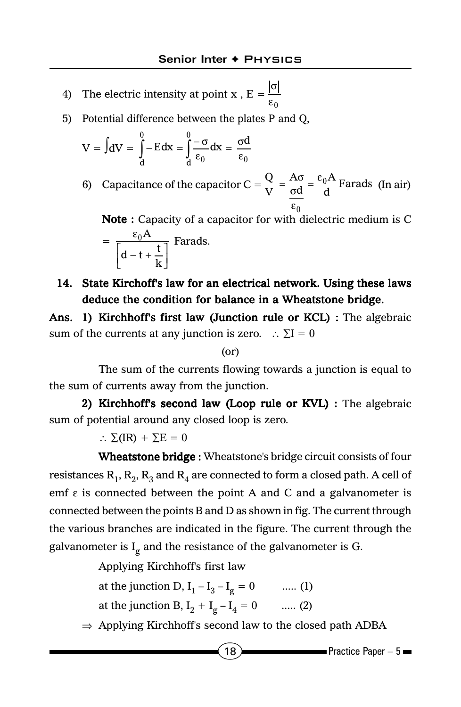- 4) The electric intensity at point x,  $E = \frac{1}{\epsilon_0}$ σ
- 5) Potential difference between the plates P and Q,

$$
V = \int dV = \int_{d}^{0} -Edx = \int_{d}^{0} \frac{-\sigma}{\epsilon_0} dx = \frac{\sigma d}{\epsilon_0}
$$

6) Capacitance of the capacitor  $C = \frac{Q}{V} = \frac{1}{\sigma d} = \frac{C_0 I^2}{d}$  Farads  $\frac{\sigma}{d} = \frac{\epsilon_0 A}{d}$  $\frac{Q}{V} = \frac{A}{\sigma}$  $\frac{Q}{V} = \frac{A\sigma}{\sigma d} = \frac{\epsilon_0 A}{d}$ Farads (In air) ε

Note : Capacity of a capacitor for with dielectric medium is C =  $d-t+\frac{t}{k}$  $\vert d - t +$ ε  $d-t+\frac{t}{k}$  $\frac{0^{\frac{A}{1-\lambda}}}$  Farads.

### 14. State Kirchoff's law for an electrical network. Using these laws deduce the condition for balance in a Wheatstone bridge.

Ans. 1) Kirchhoff's first law (Junction rule or KCL) : The algebraic sum of the currents at any junction is zero. ∴  $\Sigma I = 0$ 

#### (or)

The sum of the currents flowing towards a junction is equal to the sum of currents away from the junction.

2) Kirchhoff's second law (Loop rule or  $KVL$ ) : The algebraic sum of potential around any closed loop is zero.

∴  $\Sigma$ (IR) +  $\Sigma$ E = 0

Wheatstone bridge : Wheatstone's bridge circuit consists of four resistances  $R_1, R_2, R_3$  and  $R_4$  are connected to form a closed path. A cell of emf  $\epsilon$  is connected between the point A and C and a galvanometer is connected between the points B and D as shown in fig. The current through the various branches are indicated in the figure. The current through the galvanometer is  $I_g$  and the resistance of the galvanometer is G.

Applying Kirchhoff's first law

at the junction D,  $I_1 - I_3 - I_g = 0$  ..... (1) at the junction B,  $I_2 + I_g - I_4 = 0$  ..... (2)

⇒ Applying Kirchhoff's second law to the closed path ADBA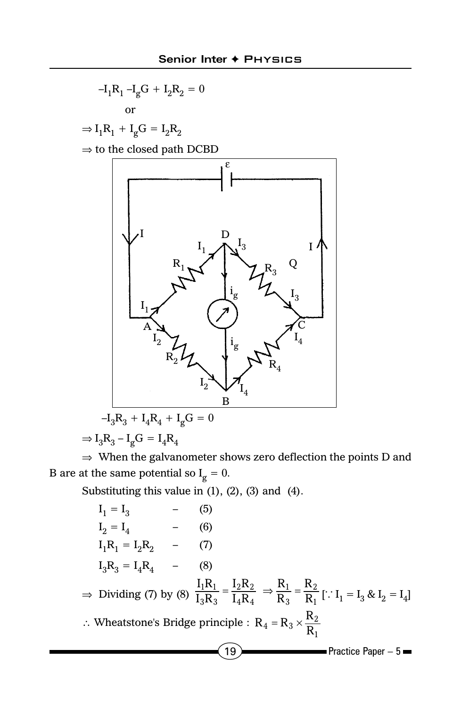

 $\Rightarrow$  I<sub>3</sub>R<sub>3</sub> – I<sub>g</sub>G = I<sub>4</sub>R<sub>4</sub>

⇒ When the galvanometer shows zero deflection the points D and B are at the same potential so  $I_g = 0$ .

Substituting this value in (1), (2), (3) and (4).

 $19$  Practice Paper – 5  $I_1 = I_3$  $_1 = I_3$  – (5)  $I_2 = I_4$  (6)  $I_1R_1 = I_2R_2$  - (7)  $I_3R_3 = I_4R_4$  - (8) ⇒ Dividing (7) by (8)  $\frac{I_1R_1}{I_3R_3} = \frac{I_2R_2}{I_4R_4}$  ⇒  $\frac{R_1}{R_3} = \frac{R_2}{R_1}$ 3  $\mathbf{1}$  $4^{\mathbf{N}}4$  $2^{\mathbf{N}}2$  $3\mathbf{N}3$  $1^{\mathbf{N}}1$ R R R R  ${\rm I_4R}$  ${\rm I_2R}$  $\frac{I_1R_1}{I_3R_3} = \frac{I_2R_2}{I_4R_4} \Rightarrow \frac{R_1}{R_3} = \frac{R_2}{R_1}$  [:  $I_1 = I_3 \& I_2 = I_4$ ] ∴ Wheatstone's Bridge principle :  $\mathbf{1}$  $R_4 = R_3 \times \frac{R_2}{R_1}$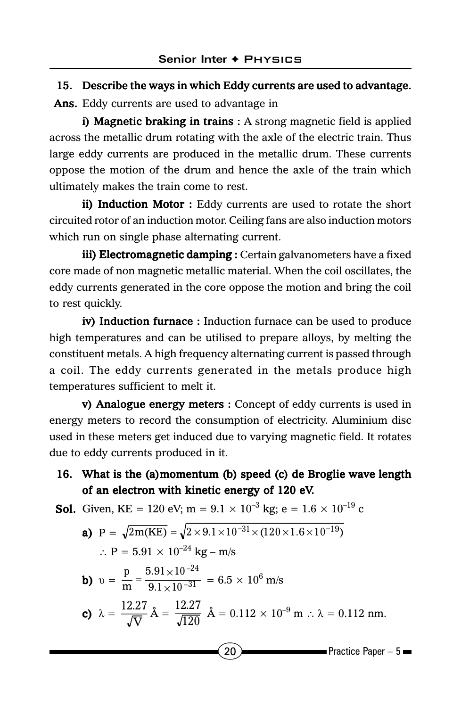### 15. Describe the ways in which Eddy currents are used to advantage.

Ans. Eddy currents are used to advantage in

i) Magnetic braking in trains  $: A$  strong magnetic field is applied across the metallic drum rotating with the axle of the electric train. Thus large eddy currents are produced in the metallic drum. These currents oppose the motion of the drum and hence the axle of the train which ultimately makes the train come to rest.

ii) Induction Motor : Eddy currents are used to rotate the short circuited rotor of an induction motor. Ceiling fans are also induction motors which run on single phase alternating current.

iii) Electromagnetic damping : Certain galvanometers have a fixed core made of non magnetic metallic material. When the coil oscillates, the eddy currents generated in the core oppose the motion and bring the coil to rest quickly.

iv) Induction furnace: Induction furnace can be used to produce high temperatures and can be utilised to prepare alloys, by melting the constituent metals. A high frequency alternating current is passed through a coil. The eddy currents generated in the metals produce high temperatures sufficient to melt it.

v) Analogue energy meters : Concept of eddy currents is used in energy meters to record the consumption of electricity. Aluminium disc used in these meters get induced due to varying magnetic field. It rotates due to eddy currents produced in it.

### 16. What is the (a)momentum (b) speed (c) de Broglie wave length of an electron with kinetic energy of 120 eV.

**Sol.** Given, KE = 120 eV; m =  $9.1 \times 10^{-3}$  kg; e =  $1.6 \times 10^{-19}$  c

**a)** 
$$
P = \sqrt{2m(KE)} = \sqrt{2 \times 9.1 \times 10^{-31} \times (120 \times 1.6 \times 10^{-19})}
$$
  
\n $\therefore P = 5.91 \times 10^{-24} \text{ kg} - \text{m/s}$ 

**b)** 
$$
v = {p \over m} = {5.91 \times 10^{-24} \over 9.1 \times 10^{-31}} = 6.5 \times 10^6
$$

c) 
$$
\lambda = \frac{12.27}{\sqrt{V}} \text{ Å} = \frac{12.27}{\sqrt{120}} \text{ Å} = 0.112 \times 10^{-9} \text{ m} \therefore \lambda = 0.112 \text{ nm}.
$$

m/s

$$
\left[ 20 \right]
$$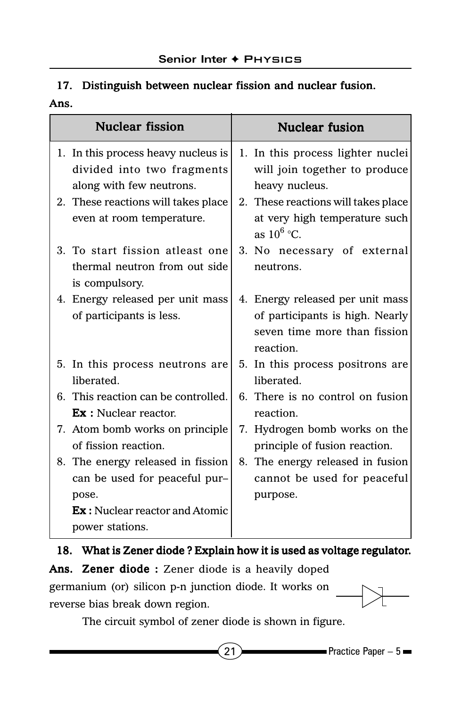### 17. Distinguish between nuclear fission and nuclear fusion. Ans.

| <b>Nuclear fission</b>                                                                                                | <b>Nuclear fusion</b>                                                                                            |
|-----------------------------------------------------------------------------------------------------------------------|------------------------------------------------------------------------------------------------------------------|
| 1. In this process heavy nucleus is<br>divided into two fragments<br>along with few neutrons.                         | 1. In this process lighter nuclei<br>will join together to produce<br>heavy nucleus.                             |
| 2. These reactions will takes place<br>even at room temperature.                                                      | 2. These reactions will takes place<br>at very high temperature such<br>as $10^6$ °C.                            |
| 3. To start fission atleast one<br>thermal neutron from out side<br>is compulsory.                                    | 3. No necessary of external<br>neutrons.                                                                         |
| 4. Energy released per unit mass<br>of participants is less.                                                          | 4. Energy released per unit mass<br>of participants is high. Nearly<br>seven time more than fission<br>reaction. |
| 5. In this process neutrons are<br>liberated.                                                                         | 5. In this process positrons are<br>liberated.                                                                   |
| 6. This reaction can be controlled.<br><b>Ex</b> : Nuclear reactor.                                                   | 6. There is no control on fusion<br>reaction.                                                                    |
| 7. Atom bomb works on principle.<br>of fission reaction.                                                              | 7. Hydrogen bomb works on the<br>principle of fusion reaction.                                                   |
| 8. The energy released in fission<br>can be used for peaceful pur-<br>pose.<br><b>Ex</b> : Nuclear reactor and Atomic | 8. The energy released in fusion<br>cannot be used for peaceful<br>purpose.                                      |
| power stations.                                                                                                       |                                                                                                                  |

#### 18. What is Zener diode ? Explain how it is used as voltage regulator.

Ans. Zener diode : Zener diode is a heavily doped germanium (or) silicon p-n junction diode. It works on reverse bias break down region.

The circuit symbol of zener diode is shown in figure.

21  $\rightarrow$  Practice Paper – 5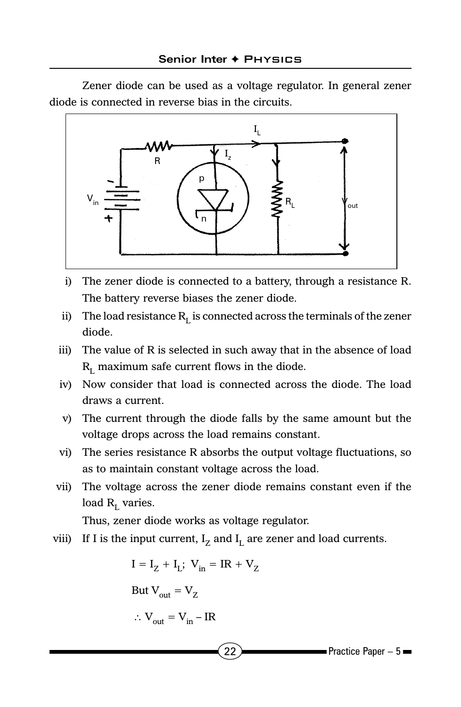Zener diode can be used as a voltage regulator. In general zener diode is connected in reverse bias in the circuits.



- i) The zener diode is connected to a battery, through a resistance R. The battery reverse biases the zener diode.
- ii) The load resistance  $R<sub>L</sub>$  is connected across the terminals of the zener diode.
- iii) The value of R is selected in such away that in the absence of load  $R_{\rm r}$  maximum safe current flows in the diode.
- iv) Now consider that load is connected across the diode. The load draws a current.
- v) The current through the diode falls by the same amount but the voltage drops across the load remains constant.
- vi) The series resistance R absorbs the output voltage fluctuations, so as to maintain constant voltage across the load.
- vii) The voltage across the zener diode remains constant even if the load  $R_L$  varies.

Thus, zener diode works as voltage regulator.

viii) If I is the input current,  $I_z$  and  $I_l$  are zener and load currents.

 $I = I_z + I_t$ ;  $V_{in} = IR + V_z$ But  $V_{\text{out}} = V_Z$ ∴  $V_{\text{out}} = V_{\text{in}} - IR$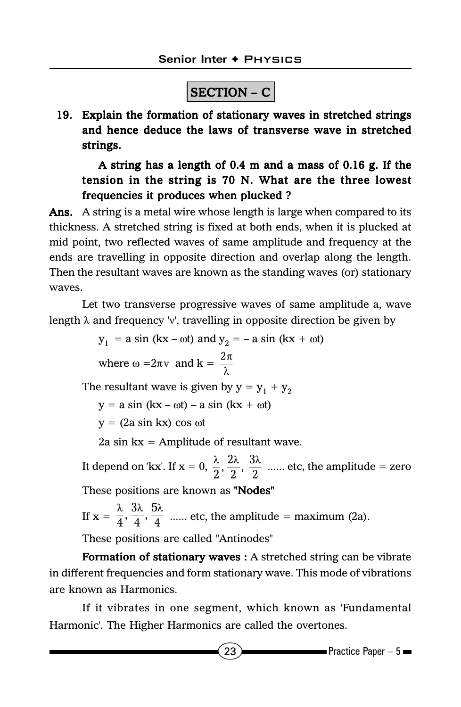## SECTION – C

19. Explain the formation of stationary waves in stretched strings and hence deduce the laws of transverse wave in stretched strings.

A string has a length of 0.4 m and a mass of 0.16 g. If the tension in the string is 70 N. What are the three lowest frequencies it produces when plucked ?

Ans. A string is a metal wire whose length is large when compared to its thickness. A stretched string is fixed at both ends, when it is plucked at mid point, two reflected waves of same amplitude and frequency at the ends are travelling in opposite direction and overlap along the length. Then the resultant waves are known as the standing waves (or) stationary waves.

Let two transverse progressive waves of same amplitude a, wave length  $\lambda$  and frequency 'v', travelling in opposite direction be given by

> $y_1 = a \sin (kx - \omega t)$  and  $y_2 = -a \sin (kx + \omega t)$ where  $\omega = 2\pi v$  and  $k = \frac{2\pi}{\lambda}$

The resultant wave is given by  $y = y_1 + y_2$ 

 $y = a \sin (kx - \omega t) - a \sin (kx + \omega t)$ 

 $y = (2a \sin kx) \cos \omega t$ 

2a sin  $kx =$  Amplitude of resultant wave.

It depend on 'kx'. If  $x = 0$ ,  $\frac{\lambda}{2}$ ,  $\frac{2\lambda}{2}$ ,  $\frac{3\lambda}{2}$  ...... etc, the amplitude = zero These positions are known as "Nodes"

If 
$$
x = \frac{\lambda}{4}, \frac{3\lambda}{4}, \frac{5\lambda}{4}
$$
 ...... etc, the amplitude = maximum (2a).

These positions are called "Antinodes"

Formation of stationary waves : A stretched string can be vibrate in different frequencies and form stationary wave. This mode of vibrations are known as Harmonics.

If it vibrates in one segment, which known as 'Fundamental Harmonic'. The Higher Harmonics are called the overtones.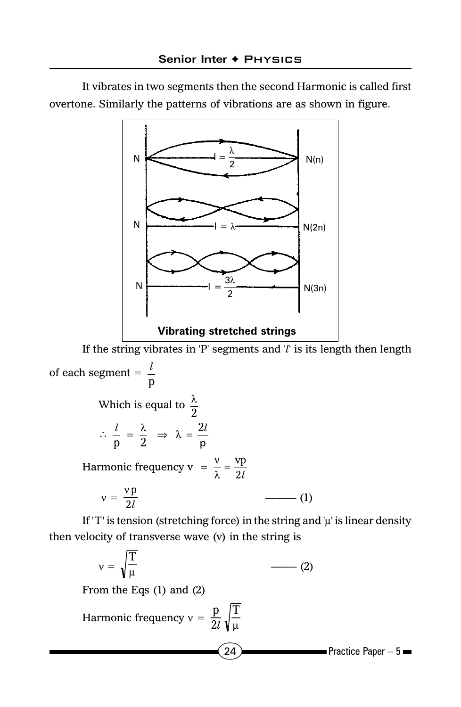It vibrates in two segments then the second Harmonic is called first overtone. Similarly the patterns of vibrations are as shown in figure.



If the string vibrates in 'P' segments and '*l*' is its length then length of each segment =  $\frac{v}{p}$ *l*

Which is equal to 
$$
\frac{\lambda}{2}
$$
  
\n
$$
\therefore \frac{l}{p} = \frac{\lambda}{2} \implies \lambda = \frac{2l}{p}
$$
\nHarmonic frequency  $v = \frac{v}{\lambda} = \frac{vp}{2l}$   
\n
$$
v = \frac{vp}{2l}
$$
 (1)

If 'T' is tension (stretching force) in the string and  $\mu$ ' is linear density then velocity of transverse wave (v) in the string is

$$
v = \sqrt{\frac{T}{\mu}}
$$
 (2)  
From the Eqs (1) and (2)  
Harmonic frequency  $v = \frac{p}{2l} \sqrt{\frac{T}{\mu}}$   
(24) **Practice Paper - 5**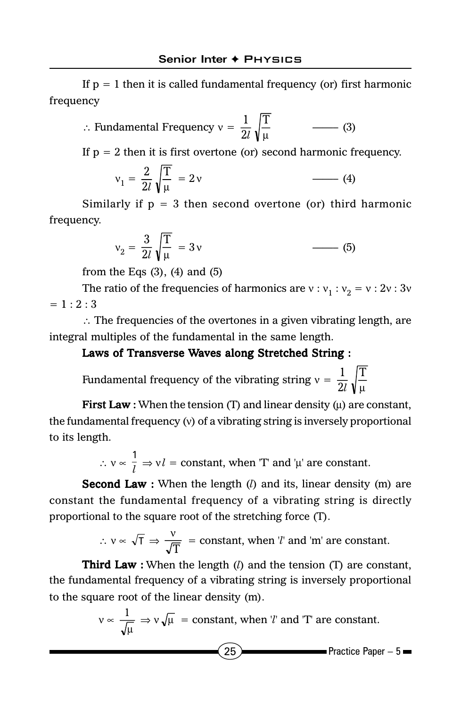If  $p = 1$  then it is called fundamental frequency (or) first harmonic frequency

$$
\therefore \text{ Fundamental Frequency } v = \frac{1}{2l} \sqrt{\frac{T}{\mu}}
$$
 (3)

If  $p = 2$  then it is first overtone (or) second harmonic frequency.

$$
v_1 = \frac{2}{2l} \sqrt{\frac{T}{\mu}} = 2v \tag{4}
$$

Similarly if  $p = 3$  then second overtone (or) third harmonic frequency.

$$
v_2 = \frac{3}{2l} \sqrt{\frac{T}{\mu}} = 3v \qquad \qquad \boxed{5}
$$

from the Eqs  $(3)$ ,  $(4)$  and  $(5)$ 

The ratio of the frequencies of harmonics are  $v : v_1 : v_2 = v : 2v : 3v$  $= 1 : 2 : 3$ 

∴ The frequencies of the overtones in a given vibrating length, are integral multiples of the fundamental in the same length.

### Laws of Transverse Waves along Stretched String :

Fundamental frequency of the vibrating string  $v = \frac{1}{2l} \sqrt{\frac{T}{\mu}}$  $\overline{c}$  $\mathbf 1$ *l*

**First Law**: When the tension (T) and linear density ( $\mu$ ) are constant, the fundamental frequency (ν) of a vibrating string is inversely proportional to its length.

∴  $v \propto \frac{1}{l}$  ⇒  $v \cdot l$  = constant, when 'T' and 'µ' are constant.

**Second Law :** When the length (*l*) and its, linear density (m) are constant the fundamental frequency of a vibrating string is directly proportional to the square root of the stretching force (T).

$$
\therefore v \propto \sqrt{T} \Rightarrow \frac{v}{\sqrt{T}} = \text{constant, when } l' \text{ and } \text{'m' are constant.}
$$

**Third Law**: When the length  $(l)$  and the tension  $(T)$  are constant, the fundamental frequency of a vibrating string is inversely proportional to the square root of the linear density (m).

$$
v \propto \frac{1}{\sqrt{\mu}} \Rightarrow v \sqrt{\mu}
$$
 = constant, when *'l'* and *'T'* are constant.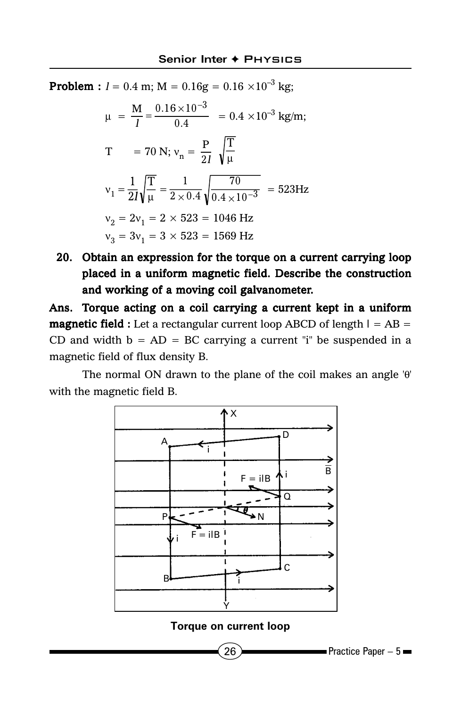**Problem :**  $l = 0.4$  m;  $M = 0.16g = 0.16 \times 10^{-3}$  kg;

$$
\mu = \frac{M}{I} = \frac{0.16 \times 10^{-3}}{0.4} = 0.4 \times 10^{-3} \text{ kg/m};
$$
  
\n
$$
T = 70 \text{ N}; v_n = \frac{P}{2I} \sqrt{\frac{T}{\mu}}
$$
  
\n
$$
v_1 = \frac{1}{2I} \sqrt{\frac{T}{\mu}} = \frac{1}{2 \times 0.4} \sqrt{\frac{70}{0.4 \times 10^{-3}}} = 523 \text{ Hz}
$$
  
\n
$$
v_2 = 2v_1 = 2 \times 523 = 1046 \text{ Hz}
$$
  
\n
$$
v_3 = 3v_1 = 3 \times 523 = 1569 \text{ Hz}
$$

20. Obtain an expression for the torque on a current carrying loop placed in a uniform magnetic field. Describe the construction and working of a moving coil galvanometer.

Ans. Torque acting on a coil carrying a current kept in a uniform **magnetic field :** Let a rectangular current loop ABCD of length  $l = AB =$ CD and width  $b = AD = BC$  carrying a current "i" be suspended in a magnetic field of flux density B.

The normal ON drawn to the plane of the coil makes an angle 'θ' with the magnetic field B.



**Torque on current loop**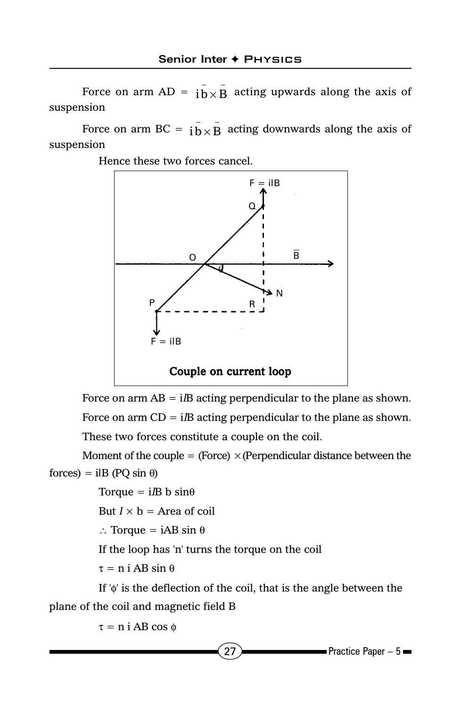Force on arm  $AD = i\bar{b} \times \bar{B}$  acting upwards along the axis of suspension

Force on arm BC =  $i\bar{b} \times \bar{B}$  acting downwards along the axis of suspension

Hence these two forces cancel.



Force on arm  $AB = iB$  acting perpendicular to the plane as shown. Force on arm  $CD = iB$  acting perpendicular to the plane as shown.

These two forces constitute a couple on the coil.

Moment of the couple = (Force)  $\times$  (Perpendicular distance between the  $forces) = i\mathbf{B}$  (PQ sin  $\theta$ )

Torque =  $i/B$  b sin $\theta$ 

But  $l \times b$  = Area of coil

∴ Torque = iAB sin θ

If the loop has 'n' turns the torque on the coil

τ = n i AB sin θ

If 'φ' is the deflection of the coil, that is the angle between the plane of the coil and magnetic field B

τ = n i AB cos φ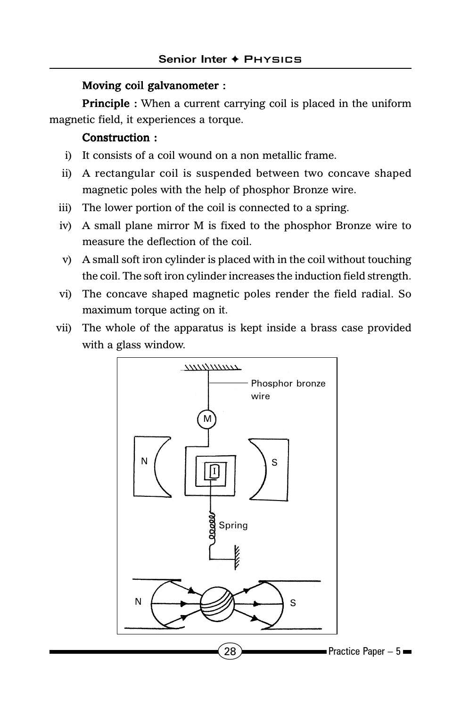#### Moving coil galvanometer :

**Principle :** When a current carrying coil is placed in the uniform magnetic field, it experiences a torque.

### Construction :

- i) It consists of a coil wound on a non metallic frame.
- ii) A rectangular coil is suspended between two concave shaped magnetic poles with the help of phosphor Bronze wire.
- iii) The lower portion of the coil is connected to a spring.
- iv) A small plane mirror M is fixed to the phosphor Bronze wire to measure the deflection of the coil.
- v) A small soft iron cylinder is placed with in the coil without touching the coil. The soft iron cylinder increases the induction field strength.
- vi) The concave shaped magnetic poles render the field radial. So maximum torque acting on it.
- vii) The whole of the apparatus is kept inside a brass case provided with a glass window.

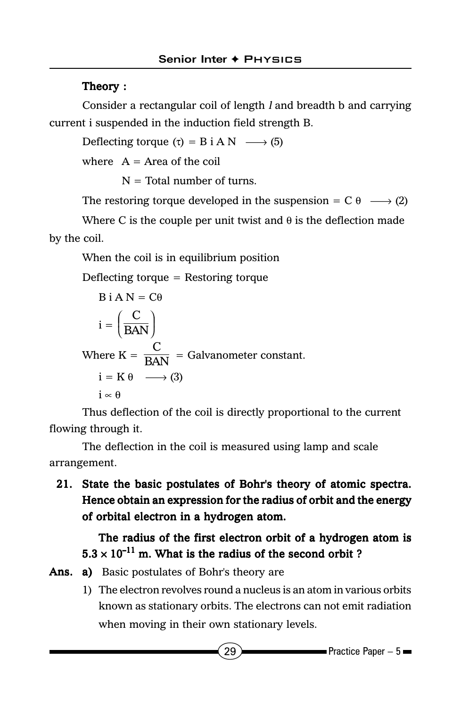### Theory :

Consider a rectangular coil of length l and breadth b and carrying current i suspended in the induction field strength B.

Deflecting torque  $(\tau) = B$  i A N  $\longrightarrow$  (5)

where  $A = Area$  of the coil

 $N =$  Total number of turns.

The restoring torque developed in the suspension =  $C \theta \longrightarrow (2)$ 

Where C is the couple per unit twist and  $\theta$  is the deflection made by the coil.

When the coil is in equilibrium position

Deflecting torque = Restoring torque

B i A N = C
$$
\theta
$$
  
\n $i = \left(\frac{C}{BAN}\right)$   
\nWhere K =  $\frac{C}{BAN}$  = Galvanometer constant.  
\n $i = K \theta \longrightarrow (3)$   
\n $i \propto \theta$ 

Thus deflection of the coil is directly proportional to the current flowing through it.

The deflection in the coil is measured using lamp and scale arrangement.

21. State the basic postulates of Bohr's theory of atomic spectra. Hence obtain an expression for the radius of orbit and the energy of orbital electron in a hydrogen atom.

### The radius of the first electron orbit of a hydrogen atom is  $5.3 \times 10^{-11}$  m. What is the radius of the second orbit ?

- Ans. a) Basic postulates of Bohr's theory are
	- 1) The electron revolves round a nucleus is an atom in various orbits known as stationary orbits. The electrons can not emit radiation when moving in their own stationary levels.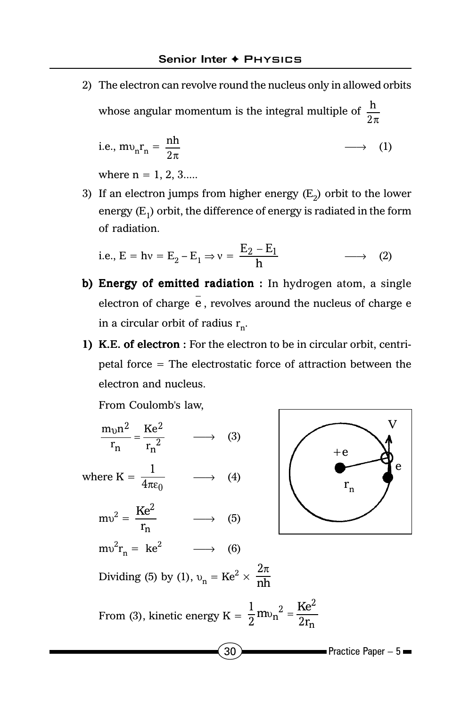2) The electron can revolve round the nucleus only in allowed orbits whose angular momentum is the integral multiple of  $\frac{h}{2\pi}$ 

i.e., 
$$
mv_nr_n = \frac{nh}{2\pi}
$$
  $\longrightarrow$  (1)

where  $n = 1, 2, 3...$ 

3) If an electron jumps from higher energy  $(E_2)$  orbit to the lower energy  $(E_1)$  orbit, the difference of energy is radiated in the form of radiation.

i.e., 
$$
E = hv = E_2 - E_1 \Rightarrow v = \frac{E_2 - E_1}{h}
$$
  $\longrightarrow$  (2)

- b) Energy of emitted radiation : In hydrogen atom, a single electron of charge  $\overline{e}$ , revolves around the nucleus of charge  $e$ in a circular orbit of radius  $r_n$ .
- 1) K.E. of electron : For the electron to be in circular orbit, centripetal force = The electrostatic force of attraction between the electron and nucleus.

From Coulomb's law,

$$
\frac{m_{vn}^2}{r_n} = \frac{Ke^2}{r_n^2} \longrightarrow (3)
$$
  
where  $K = \frac{1}{4\pi\epsilon_0} \longrightarrow (4)$   

$$
mv^2 = \frac{Ke^2}{r_n} \longrightarrow (5)
$$
  

$$
mv^2r_n = ke^2 \longrightarrow (6)
$$
  
Dividing (5) by (1),  $v_n = Ke^2 \times \frac{2\pi}{nh}$   
From (3), kinetic energy  $K = \frac{1}{2}mv_n^2 = \frac{Ke^2}{2r_n}$ 

 $30$  Practice Paper – 5

V

 $+e$ 

 $r_{n}$ 

e